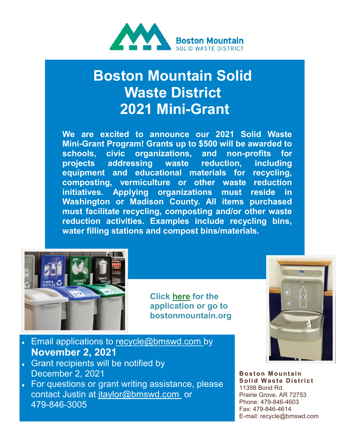

## **Boston Mountain Solid Waste District 2021 Mini-Grant**

**We are excited to announce our 2021 Solid Waste Mini-Grant Program! Grants up to \$500 will be awarded to schools, civic organizations, and non-profits for projects addressing waste reduction, including equipment and educational materials for recycling, composting, vermiculture or other waste reduction initiatives. Applying organizations must reside in Washington or Madison County. All items purchased must facilitate recycling, composting and/or other waste reduction activities. Examples include recycling bins, water filling stations and compost bins/materials.**



**Click [here](https://static1.squarespace.com/static/5de587c9e743cb648d8a6d3e/t/612f8d9d50f63336ffd84e77/1630506398092/Mini+Grant+Application+2021.pdf) for the application or go to bostonmountain.org** 



- Email applications to recycle@bmswd.com by **November 2, 2021**
- Grant recipients will be notified by December 2, 2021
- For questions or grant writing assistance, please contact Justin at jtaylor@bmswd.com or 479-846-3005

**Boston Mountain Solid Waste District** 11398 Bond Rd. Prairie Grove, AR 72753 Phone: 479-846-4603 Fax: 479-846-4614 E-mail: recycle@bmswd.com